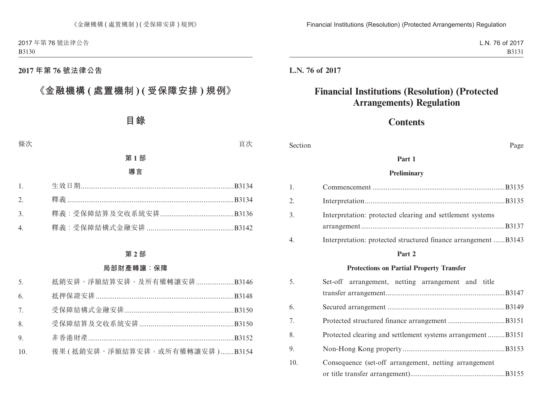### **2017 年第 76 號法律公告**

# **《金融機構 ( 處置機制 ) ( 受保障安排 ) 規例》**

# **目錄**

#### 條次 いっちょう しょうしょう しょうしょう かいしょう うちのう うちのう 買次 しょうしょく

### **第 1 部**

#### **導言**

| $\overline{3}$ |  |
|----------------|--|
|                |  |

#### **第 2 部**

### **局部財產轉讓:保障**

| 5.             | 抵銷安排、淨額結算安排,及所有權轉讓安排B3146     |  |
|----------------|-------------------------------|--|
| 6.             |                               |  |
| 7 <sub>1</sub> |                               |  |
| 8.             |                               |  |
| 9.             |                               |  |
| 10.            | 後果(抵銷安排、淨額結算安排,或所有權轉讓安排)B3154 |  |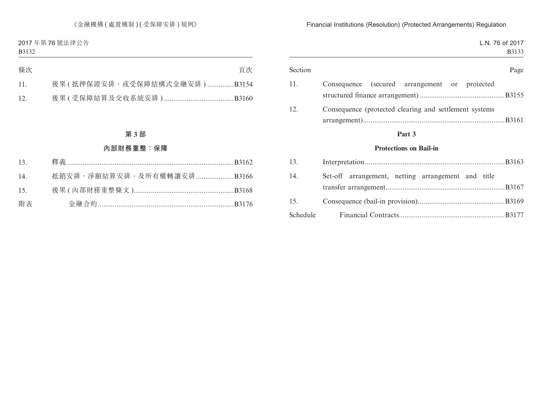《金融機構 (處置機制) (受保障安排) 規例》

2017 年第 76 號法律公告 B3132

| 條次 | 頁次                          |
|----|-----------------------------|
|    | 後果(抵押保證安排,或受保障結構式金融安排)B3154 |
|    |                             |

### **第 3 部**

### **內部財務重整:保障**

| 13. |                           |  |
|-----|---------------------------|--|
| 14. | 抵銷安排、淨額結算安排,及所有權轉讓安排B3166 |  |
| 15. |                           |  |
| 附表  |                           |  |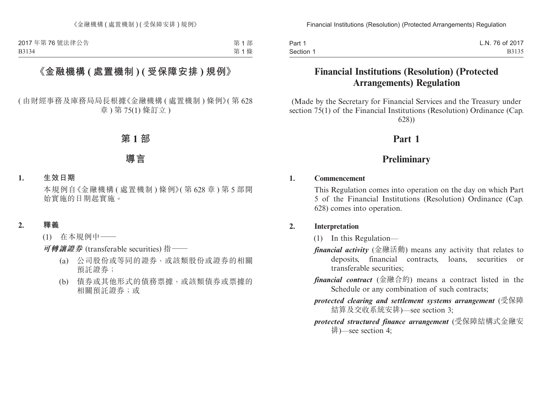第 1 部 第 1 條

## **《金融機構 ( 處置機制 ) ( 受保障安排 ) 規例》**

( 由財經事務及庫務局局長根據《金融機構 ( 處置機制 ) 條例》( 第 628 章 ) 第 75(1) 條訂立 )

### **第 1 部**

# **導言**

### **1. 生效日期**

本規例自《金融機構 ( 處置機制 ) 條例》( 第 628 章 ) 第 5 部開 始實施的日期起實施。

**2. 釋義**

(1) 在本規例中——

**可轉讓證券** (transferable securities) 指——

- (a) 公司股份或等同的證券,或該類股份或證券的相關 預託證券;
- (b) 債券或其他形式的債務票據,或該類債券或票據的 相關預託證券;或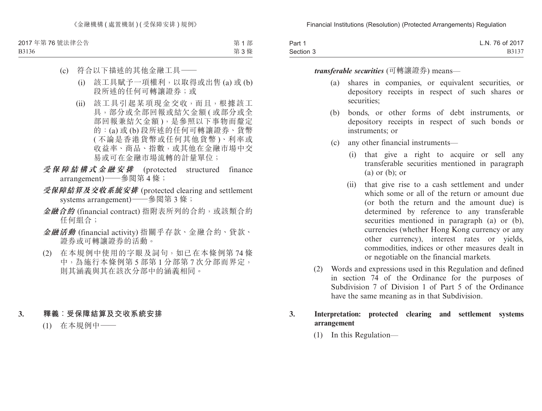《金融機構 ( 處置機制 ) ( 受保障安排 ) 規例》

2017 年第 76 號法律公告 B3136

第 1 部 第 3 條

# (c) 符合以下描述的其他金融工具——

- (i) 該工具賦予一項權利,以取得或出售 (a) 或 (b) 段所述的任何可轉讓證券;或
- (ii) 該工具引起某項現金交收,而且,根據該工 具,部分或全部回報或結欠金額 ( 或部分或全 部回報兼結欠金額),是參照以下事物而釐定 的:(a) 或 (b) 段所述的任何可轉讓證券、貨幣 ( 不論是香港貨幣或任何其他貨幣 )、利率或 收益率、商品、指數,或其他在金融市場中交 易或可在金融市場流轉的計量單位;
- **受保障結構式金融安排** (protected structured finance arrangement)——參閱第 4 條;
- **受保障結算及交收系統安排** (protected clearing and settlement systems arrangement)——參閱第 3 條;
- **金融合約** (financial contract) 指附表所列的合約,或該類合約 任何組合;
- **金融活動** (financial activity) 指關乎存款、金融合約、貸款、 證券或可轉讓證券的活動。
- (2) 在本規例中使用的字眼及詞句,如已在本條例第 74 條 中,為施行本條例第 5 部第 1 分部第 7 次分部而界定, 則其涵義與其在該次分部中的涵義相同。

### **3. 釋義︰受保障結算及交收系統安排**

(1) 在本規例中——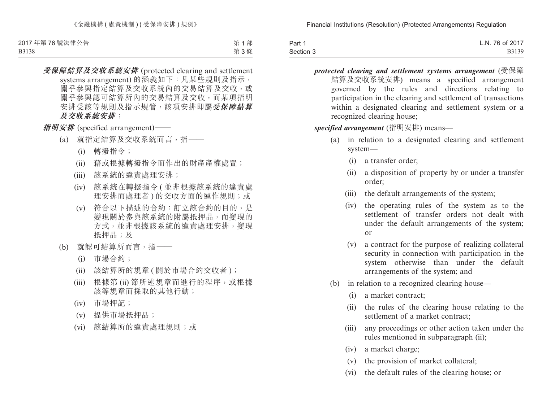B3138

第 1 部 第 3 條

**受保障結算及交收系統安排** (protected clearing and settlement systems arrangement) 的涵義如下:凡某些規則及指示, 關乎參與指定結算及交收系統內的交易結算及交收,或 關乎參與認可結算所內的交易結算及交收,而某項指明 安排受該等規則及指示規管,該項安排即屬**受保障結算 及交收系統安排**;

**指明安排** (specified arrangement)

- (a) 就指定結算及交收系統而言,指——
	- (i) 轉撥指令;
	- (ii) 藉或根據轉撥指令而作出的財產產權處置;
	- (iii) 該系統的違責處理安排;
	- (iv) 該系統在轉撥指令 ( 並非根據該系統的違責處 理安排而處理者)的交收方面的運作規則;或
	- (v) 符合以下描述的合約:訂立該合約的目的,是 變現關於參與該系統的附屬抵押品,而變現的 方式,並非根據該系統的違責處理安排,變現 抵押品;及
- (b) 就認可結算所而言,指——
	- (i) 市場合約;
	- (ii) 該結算所的規章 ( 關於市場合約交收者 );
	- (iii) 根據第 (ii) 節所述規章而進行的程序,或根據 該等規章而採取的其他行動;
	- (iv) 市場押記;
	- (v) 提供市場抵押品;
	- (vi) 該結算所的違責處理規則;或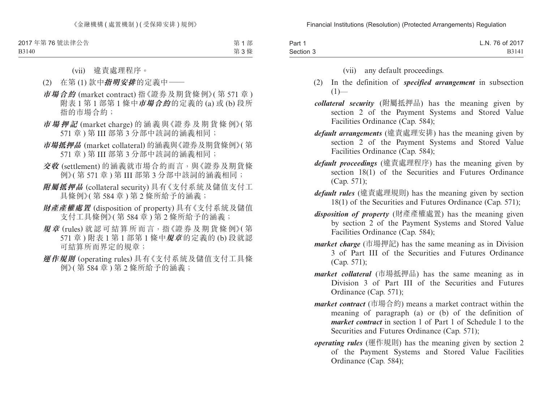《金融機構 ( 處置機制 ) ( 受保障安排 ) 規例》

2017 年第 76 號法律公告 B3140

第 1 部

第 3 條

(vii) 違責處理程序。

- (2) 在第 (1) 款中**指明安排**的定義中——
- **市場合約** (market contract) 指《證券及期貨條例》( 第 571 章 ) 附表 1 第 1 部第 1 條中**市場合約**的定義的 (a) 或 (b) 段所 指的市場合約;
- **市場押記** (market charge) 的 涵 義 與《證 券 及 期 貨 條 例》( 第 571 章 ) 第 III 部第 3 分部中該詞的涵義相同;
- **市場抵押品** (market collateral) 的涵義與《證券及期貨條例》( 第 571 章 ) 第 III 部第 3 分部中該詞的涵義相同;
- **交收** (settlement) 的涵義就市場合約而言,與《證券及期貨條 例》(第 571 章) 第 III 部第 3 分部中該詞的涵義相同;
- **附屬抵押品** (collateral security) 具有《支付系統及儲值支付工 具條例》( 第 584 章 ) 第 2 條所給予的涵義;
- **財產產權處置** (disposition of property) 具有《支付系統及儲值 支付工具條例》( 第 584 章 ) 第 2 條所給予的涵義;
- **規章** (rules) 就認可結算所而言,指《證券及期貨條例》( 第 571 章 ) 附表 1 第 1 部第 1 條中**規章** 的定義的 (b) 段就認 可結算所而界定的規章;
- **運作規則** (operating rules) 具有《支付系統及儲值支付工具條 例》( 第 584 章 ) 第 2 條所給予的涵義;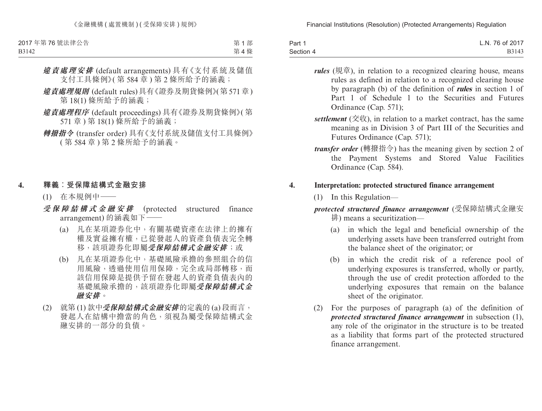> **違責處理安排** (default arrangements) 具有《支付系統及儲值 支付工具條例》( 第 584 章 ) 第 2 條所給予的涵義;

第 1 部 第 4 條

- **違責處理規則** (default rules)具有《證券及期貨條例》(第571章) 第 18(1) 條所給予的涵義;
- **違責處理程序** (default proceedings) 具有《證券及期貨條例》( 第 571 章 ) 第 18(1) 條所給予的涵義;
- **轉撥指令** (transfer order) 具有《支付系統及儲值支付工具條例》 ( 第 584 章 ) 第 2 條所給予的涵義。

### **4. 釋義︰受保障結構式金融安排**

- (1) 在本規例中——
- **受保障結構式金融安排** (protected structured finance arrangement) 的涵義如下一
	- (a) 凡在某項證券化中,有關基礎資產在法律上的擁有 權及實益擁有權,已從發起人的資產負債表完全轉 移,該項證券化即屬**受保障結構式金融安排**;或
	- (b) 凡在某項證券化中,基礎風險承擔的參照組合的信 用風險,透過使用信用保障,完全或局部轉移,而 該信用保障是提供予留在發起人的資產負債表內的 基礎風險承擔的,該項證券化即屬**受保障結構式金 融安排**。
- (2) 就第 (1) 款中**受保障結構式金融安排**的定義的 (a) 段而言, 發起人在結構中擔當的角色,須視為屬受保障結構式金 融安排的一部分的負債。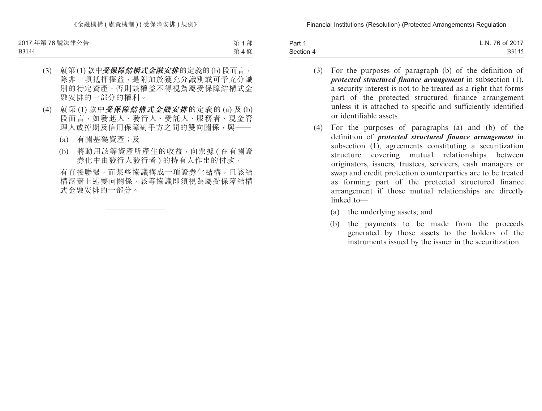第 1 部 第 4 條

- (3) 就第 (1) 款中**受保障結構式金融安排**的定義的 (b) 段而言, 除非一項抵押權益,是附加於獲充分識別或可予充分識 別的特定資產,否則該權益不得視為屬受保障結構式金 融安排的一部分的權利。
- (4) 就第 (1) 款中**受保障結構式金融安排** 的定義的 (a) 及 (b) 段而言,如發起人、發行人、受託人、服務者、現金管 理人或掉期及信用保障對手方之間的雙向關係,與——
	- (a) 有關基礎資產;及
	- (b) 將動用該等資產所產生的收益,向票據 ( 在有關證 券化中由發行人發行者)的持有人作出的付款,

有直接聯繫,而某些協議構成一項證券化結構,且該結 構涵蓋上述雙向關係,該等協議即須視為屬受保障結構 式金融安排的一部分。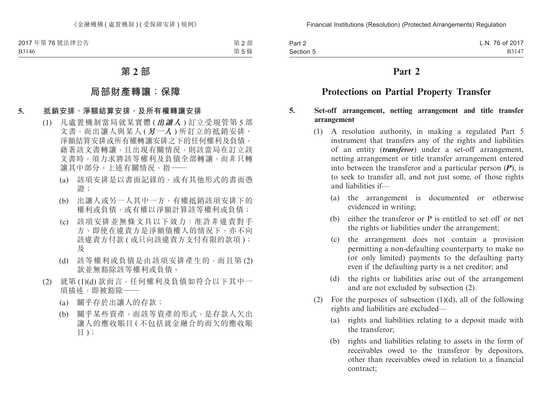第 2 部 第 5 條

# **第 2 部**

### **局部財產轉讓:保障**

### **5. 抵銷安排、淨額結算安排,及所有權轉讓安排**

- (1) 凡處置機制當局就某實體 (**出讓人** ) 訂立受規管第 5 部 文書,而出讓人與某人 (**另一人** ) 所訂立的抵銷安排、 淨額結算安排或所有權轉讓安排之下的任何權利及負債, 藉著該文書轉讓,且出現有關情況,則該當局在訂立該 文書時,須力求將該等權利及負債全部轉讓,而非只轉 讓其中部分。上述有關情況, 指-
	- (a) 該項安排是以書面記錄的,或有其他形式的書面憑 證;
	- (b) 出讓人或另一人其中一方,有權抵銷該項安排下的 權利或負債,或有權以淨額計算該等權利或負債;
	- (c) 該項安排並無條文具以下效力:准許非違責對手 方,即使在違責方是淨額債權人的情況下,亦不向 該違責方付款 ( 或只向該違責方支付有限的款項 ); 及
	- (d) 該等權利或負債是由該項安排產生的,而且第 (2) 款並無豁除該等權利或負債。
- (2) 就第 (1)(d) 款而言,任何權利及負債如符合以下其中一 項描述,即被豁除一
	- (a) 關乎存於出讓人的存款;
	- (b) 關乎某些資產,而該等資產的形式,是存款人欠出 讓人的應收賬目 ( 不包括就金融合約而欠的應收賬 目 );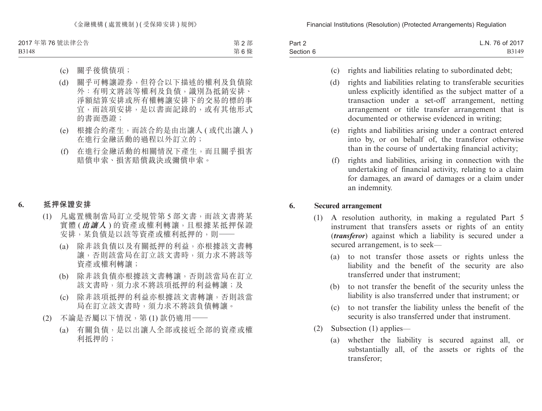《金融機構 ( 處置機制 ) ( 受保障安排 ) 規例》

2017 年第 76 號法律公告 B3148

第 2 部 第 6 條

- (c) 關乎後償債項;
- (d) 關乎可轉讓證券,但符合以下描述的權利及負債除 外:有明文將該等權利及負債,識別為抵銷安排、 淨額結算安排或所有權轉讓安排下的交易的標的事 宜,而該項安排,是以書面記錄的,或有其他形式 的書面憑證;
- (e) 根據合約產生,而該合約是由出讓人 ( 或代出讓人 ) 在進行金融活動的過程以外訂立的;
- (f) 在進行金融活動的相關情況下產生,而且關乎損害 賠償申索、損害賠償裁決或彌償申索。

#### **6. 抵押保證安排**

- (1) 凡處置機制當局訂立受規管第 5 部文書,而該文書將某 實體 (**出讓人** ) 的資產或權利轉讓,且根據某抵押保證 安排,某負債是以該等資產或權利抵押的,則——
	- (a) 除非該負債以及有關抵押的利益,亦根據該文書轉 讓,否則該當局在訂立該文書時,須力求不將該等 資產或權利轉讓;
	- (b) 除非該負債亦根據該文書轉讓,否則該當局在訂立 該文書時,須力求不將該項抵押的利益轉讓;及
	- (c) 除非該項抵押的利益亦根據該文書轉讓,否則該當 局在訂立該文書時,須力求不將該負債轉讓。
- (2) 不論是否屬以下情況,第 (1)款仍適用一
	- (a) 有關負債,是以出讓人全部或接近全部的資產或權 利抵押的;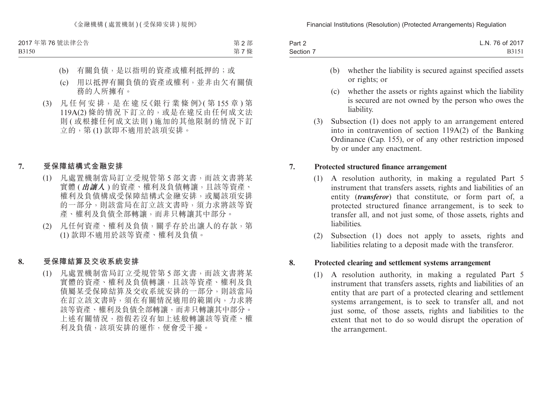第 2 部 第 7 條

- (b) 有關負債,是以指明的資產或權利抵押的;或
- (c) 用以抵押有關負債的資產或權利,並非由欠有關債 務的人所擁有。
- (3) 凡 任 何 安 排,是 在 違 反《銀 行 業 條 例》( 第 155 章 ) 第 119A(2) 條的情況下訂立的,或是在違反由任何成文法 則 ( 或根據任何成文法則 ) 施加的其他限制的情況下訂 立的,第 (1) 款即不適用於該項安排。
- **7. 受保障結構式金融安排**
	- (1) 凡處置機制當局訂立受規管第 5 部文書,而該文書將某 實體 (**出讓人** ) 的資產、權利及負債轉讓,且該等資產、 權利及負債構成受保障結構式金融安排,或屬該項安排 的一部分,則該當局在訂立該文書時,須力求將該等資 產、權利及負債全部轉讓,而非只轉讓其中部分。
	- (2) 凡任何資產、權利及負債,關乎存於出讓人的存款,第 (1) 款即不適用於該等資產、權利及負債。

### **8. 受保障結算及交收系統安排**

(1) 凡處置機制當局訂立受規管第 5 部文書,而該文書將某 實體的資產、權利及負債轉讓,且該等資產、權利及負 債屬某受保障結算及交收系統安排的一部分,則該當局 在訂立該文書時,須在有關情況適用的範圍內,力求將 該等資產、權利及負債全部轉讓,而非只轉讓其中部分。 上述有關情況,指假若沒有如上述般轉讓該等資產、權 利及負債,該項安排的運作,便會受干擾。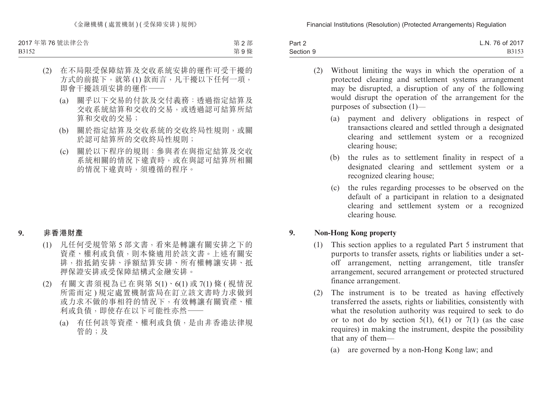B3152

第 2 部 第 9 條

# (2) 在不局限受保障結算及交收系統安排的運作可受干擾的 方式的前提下, 就第(1) 款而言, 凡干擾以下任何一項, 即會干擾該項安排的運作——

- (a) 關乎以下交易的付款及交付義務:透過指定結算及 交收系統結算和交收的交易,或透過認可結算所結 算和交收的交易;
- (b) 關於指定結算及交收系統的交收終局性規則,或關 於認可結算所的交收終局性規則;
- (c) 關於以下程序的規則:參與者在與指定結算及交收 系統相關的情況下違責時,或在與認可結算所相關 的情況下違責時,須遵循的程序。

### **9. 非香港財產**

- (1) 凡任何受規管第 5 部文書,看來是轉讓有關安排之下的 資產、權利或負債,則本條適用於該文書。上述有關安 排,指抵銷安排、淨額結算安排、所有權轉讓安排、抵 押保證安排或受保障結構式金融安排。
- (2) 有關文書須視為已在與第 5(1)、6(1) 或 7(1) 條 ( 視情況 所需而定 ) 規定處置機制當局在訂立該文書時力求做到 或力求不做的事相符的情況下,有效轉讓有關資產、權 利或負債,即使存在以下可能性亦然——
	- (a) 有任何該等資產、權利或負債,是由非香港法律規 管的;及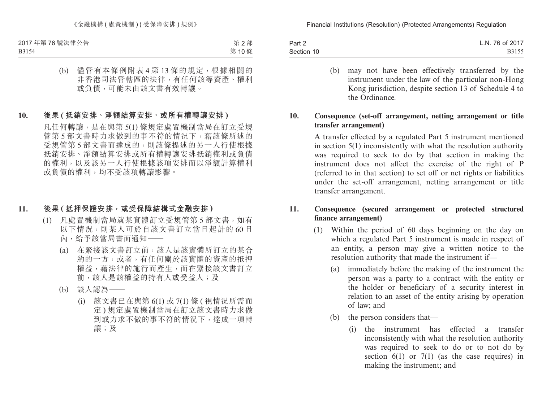第 2 部 第 10 條

(b) 儘管有本條例附表 4 第 13 條的規定,根據相關的 非香港司法管轄區的法律,有任何該等資產、權利 或負債,可能未由該文書有效轉讓。

### **10. 後果 ( 抵銷安排、淨額結算安排,或所有權轉讓安排 )**

凡任何轉讓,是在與第 5(1) 條規定處置機制當局在訂立受規 管第 5 部文書時力求做到的事不符的情況下,藉該條所述的 受規管第 5 部文書而達成的,則該條提述的另一人行使根據 抵銷安排、淨額結算安排或所有權轉讓安排抵銷權利或負債 的權利,以及該另一人行使根據該項安排而以淨額計算權利 或負債的權利,均不受該項轉讓影響。

### **11. 後果 ( 抵押保證安排,或受保障結構式金融安排 )**

- (1) 凡處置機制當局就某實體訂立受規管第 5 部文書,如有 以下情況,則某人可於自該文書訂立當日起計的 60 日 內,給予該當局書面通知——
	- (a) 在緊接該文書訂立前,該人是該實體所訂立的某合 約的一方,或者,有任何關於該實體的資產的抵押 權益,藉法律的施行而產生,而在緊接該文書訂立 前,該人是該權益的持有人或受益人;及
	- (b) 該人認為——
		- (i) 該文書已在與第 6(1) 或 7(1) 條 ( 視情況所需而 定 ) 規定處置機制當局在訂立該文書時力求做 到或力求不做的事不符的情況下,達成一項轉 讓;及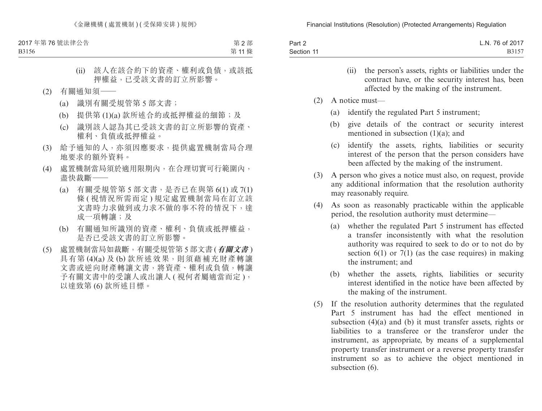第 2 部 第 11 條

- (ii) 該人在該合約下的資產、權利或負債,或該抵 押權益,已受該文書的訂立所影響。
- (2) 有關通知須——
	- (a) 識別有關受規管第 5 部文書;
	- (b) 提供第 (1)(a) 款所述合約或抵押權益的細節;及
	- (c) 識別該人認為其已受該文書的訂立所影響的資產、 權利、負債或抵押權益。
- (3) 給予通知的人,亦須因應要求,提供處置機制當局合理 地要求的額外資料。
- (4) 處置機制當局須於適用限期內,在合理切實可行範圍內, 盡快裁斷——
	- (a) 有關受規管第 5 部文書,是否已在與第 6(1) 或 7(1) 條 ( 視情況所需而定 ) 規定處置機制當局在訂立該 文書時力求做到或力求不做的事不符的情況下,達 成一項轉讓;及
	- (b) 有關通知所識別的資產、權利、負債或抵押權益, 是否已受該文書的訂立所影響。
- (5) 處置機制當局如裁斷,有關受規管第 5 部文書 (**有關文書** ) 具有第 (4)(a) 及 (b) 款所述效果, 則須藉補充財產轉讓 文書或逆向財產轉讓文書,將資產、權利或負債,轉讓 予有關文書中的受讓人或出讓人 ( 視何者屬適當而定 ), 以達致第 (6) 款所述目標。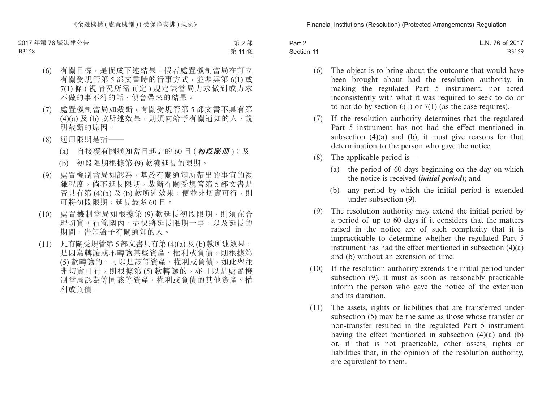B3158

第 2 部 第 11 條

- (6) 有關目標,是促成下述結果:假若處置機制當局在訂立 有關受規管第 5 部文書時的行事方式,並非與第 6(1) 或 7(1) 條 ( 視情況所需而定 ) 規定該當局力求做到或力求 不做的事不符的話,便會帶來的結果。
- (7) 處置機制當局如裁斷,有關受規管第 5 部文書不具有第 (4)(a) 及 (b) 款所述效果,則須向給予有關通知的人,說 明裁斷的原因。
- (8) 適用限期是指——
	- (a) 自接獲有關通知當日起計的 60 日 (**初段限期** );及
	- (b) 初段限期根據第 (9) 款獲延長的限期。
- (9) 處置機制當局如認為,基於有關通知所帶出的事宜的複 雜程度,倘不延長限期,裁斷有關受規管第 5 部文書是 否具有第 (4)(a) 及 (b) 款所述效果, 便並非切實可行, 則 可將初段限期,延長最多 60 日。
- (10) 處置機制當局如根據第 (9) 款延長初段限期,則須在合 理切實可行範圍內,盡快將延長限期一事,以及延長的 期間,告知給予有關通知的人。
- (11) 凡有關受規管第 5 部文書具有第 (4)(a) 及 (b) 款所述效果, 是因為轉讓或不轉讓某些資產、權利或負債,則根據第 (5) 款轉讓的,可以是該等資產、權利或負債,如此舉並 非切實可行,則根據第(5)款轉讓的,亦可以是處置機 制當局認為等同該等資產、權利或負債的其他資產、權 利或負債。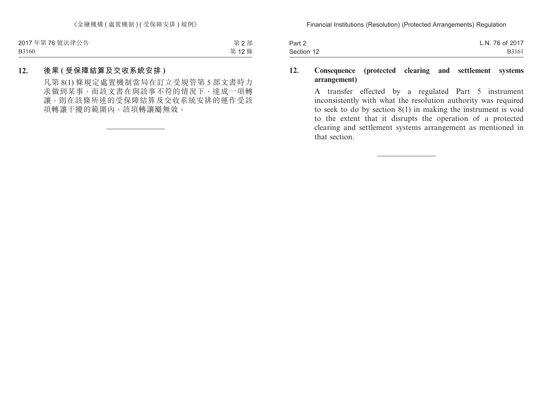第 2 部 第 12 條

### **12. 後果 ( 受保障結算及交收系統安排 )**

凡第 8(1) 條規定處置機制當局在訂立受規管第 5 部文書時力 求做到某事,而該文書在與該事不符的情況下,達成一項轉 讓,則在該條所述的受保障結算及交收系統安排的運作受該 項轉讓干擾的範圍內,該項轉讓屬無效。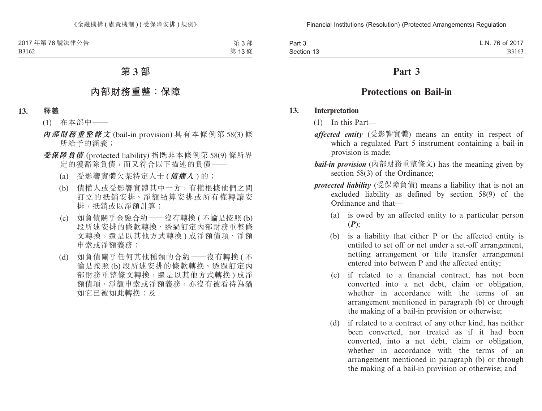第 3 部 第 13 條

# **第 3 部**

### **內部財務重整:保障**

#### **13. 釋義**

- (1) 在本部中——
- **內部財務重整條文** (bail-in provision) 具有本條例第 58(3) 條 所給予的涵義;
- **受保障負債** (protected liability) 指既非本條例第 58(9) 條所界 定的獲豁除負債,而又符合以下描述的負債——
	- (a) 受影響實體欠某特定人士 (**債權人** ) 的;
	- (b) 債權人或受影響實體其中一方,有權根據他們之間 訂立的抵銷安排、淨額結算安排或所有權轉讓安 排,抵銷或以淨額計算;
	- (c) 如負債關乎金融合約——沒有轉換 ( 不論是按照 (b) 段所述安排的條款轉換、透過訂定內部財務重整條 文轉換,還是以其他方式轉換) 成淨額債項、淨額 申索或淨額義務;
	- (d) 如負債關乎任何其他種類的合約——沒有轉換 ( 不 論是按照 (b) 段所述安排的條款轉換、透過訂定內 部財務重整條文轉換,還是以其他方式轉換) 成淨 額債項、淨額申索或淨額義務,亦沒有被看待為猶 如它已被如此轉換;及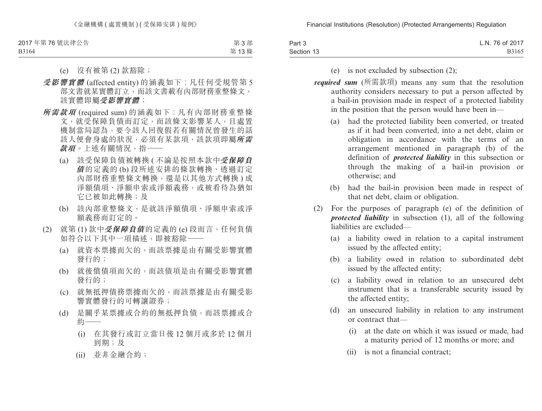B3164

第 3 部 第 13 條

- (e) 沒有被第 (2) 款豁除;
- **受影響實體** (affected entity) 的涵義如下︰凡任何受規管第 5 部文書就某實體訂立,而該文書載有內部財務重整條文, 該實體即屬**受影響實體**;
- **所需款項** (required sum) 的涵義如下︰凡有內部財務重整條 文,就受保障負債而訂定,而該條文影響某人,且處置 機制當局認為,要令該人回復假若有關情況曾發生的話 該人便會身處的狀況,必須有某款項,該款項即屬**所需 款項**。上述有關情況,指——
	- (a) 該受保障負債被轉換 ( 不論是按照本款中**受保障負 債** 的定義的 (b) 段所述安排的條款轉換、透過訂定 內部財務重整條文轉換,還是以其他方式轉換 ) 成 淨額債項、淨額申索或淨額義務,或被看待為猶如 它已被如此轉換;及
	- (b) 該內部重整條文,是就該淨額債項、淨額申索或淨 額義務而訂定的。
- (2) 就第 (1) 款中**受保障負債**的定義的 (e) 段而言,任何負債 如符合以下其中一項描述,即被豁除——
	- (a) 就資本票據而欠的,而該票據是由有關受影響實體 發行的;
	- (b) 就後償債項而欠的,而該債項是由有關受影響實體 發行的;
	- (c) 就無抵押債務票據而欠的,而該票據是由有關受影 響實體發行的可轉讓證券;
	- (d) 是關乎某票據或合約的無抵押負債,而該票據或合 約——
		- (i) 在其發行或訂立當日後 12 個月或多於 12 個月 到期;及
		- (ii) 並非金融合約;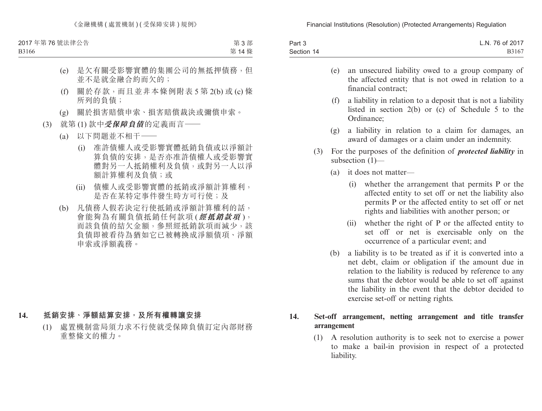B3166

第 3 部 第 14 條

- (e) 是欠有關受影響實體的集團公司的無抵押債務,但 並不是就金融合約而欠的;
- (f) 關於存款,而且並非本條例附表 5 第 2(b) 或 (c) 條 所列的負債;
- (g) 關於損害賠償申索、損害賠償裁決或彌償申索。
- (3) 就第 (1) 款中**受保障負債**的定義而言——
	- (a) 以下問題並不相干——
		- (i) 准許債權人或受影響實體抵銷負債或以淨額計 算負債的安排,是否亦准許債權人或受影響實 體對另一人抵銷權利及負債,或對另一人以淨 額計算權利及負債;或
		- (ii) 債權人或受影響實體的抵銷或淨額計算權利, 是否在某特定事件發生時方可行使;及
	- (b) 凡債務人假若決定行使抵銷或淨額計算權利的話, 會能夠為有關負債抵銷任何款項 (**經抵銷款項** ), 而該負債的結欠金額,參照經抵銷款項而減少,該 負債即被看待為猶如它已被轉換成淨額債項、淨額 申索或淨額義務。

#### **14. 抵銷安排、淨額結算安排,及所有權轉讓安排**

(1) 處置機制當局須力求不行使就受保障負債訂定內部財務 重整條文的權力。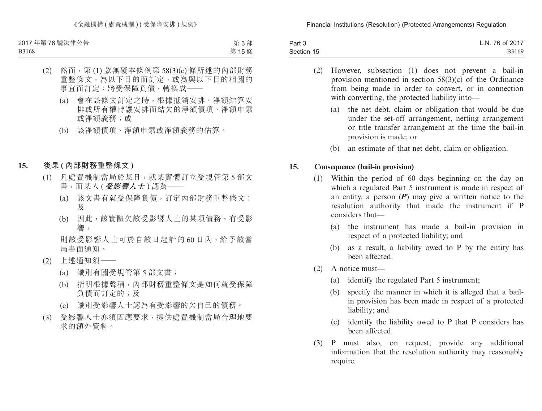《金融機構 ( 處置機制 ) ( 受保障安排 ) 規例》

2017 年第 76 號法律公告 B3168

第 3 部 第 15 條

- (2) 然而,第 (1) 款無礙本條例第 58(3)(c) 條所述的內部財務 重整條文,為以下目的而訂定,或為與以下目的相關的 事官而訂定:將受保障負債,轉換成一
	- (a) 會在該條文訂定之時,根據抵銷安排、淨額結算安 排或所有權轉讓安排而結欠的淨額債項、淨額申索 或淨額義務;或
	- (b) 該淨額債項、淨額申索或淨額義務的估算。

#### **15. 後果 ( 內部財務重整條文 )**

- (1) 凡處置機制當局於某日,就某實體訂立受規管第 5 部文 書,而某人 (**受影響人士** ) 認為——
	- (a) 該文書有就受保障負債,訂定內部財務重整條文; 及
	- (b) 因此,該實體欠該受影響人士的某項債務,有受影 響,

則該受影響人士可於自該日起計的 60 日內,給予該當 局書面通知。

- (2) 上述通知須——
	- (a) 識別有關受規管第 5 部文書;
	- (b) 指明根據聲稱,內部財務重整條文是如何就受保障 負債而訂定的;及
	- (c) 識別受影響人士認為有受影響的欠自己的債務。
- (3) 受影響人士亦須因應要求,提供處置機制當局合理地要 求的額外資料。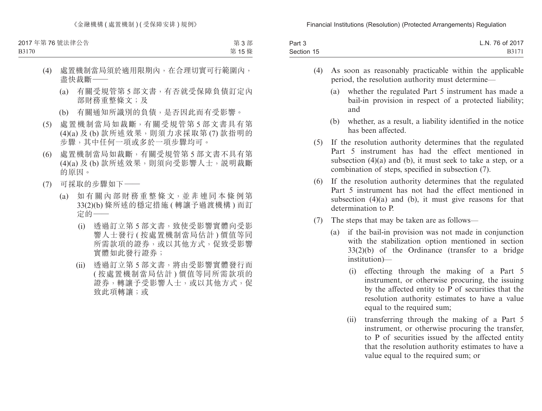B3170

第 3 部 第 15 條

- (4) 處置機制當局須於適用限期內,在合理切實可行範圍內, 盡快裁斷——
	- (a) 有關受規管第 5 部文書,有否就受保障負債訂定內 部財務重整條文;及
	- (b) 有關通知所識別的負債,是否因此而有受影響。
- (5) 處置機制當局如裁斷,有關受規管第 5 部文書具有第 (4)(a) 及 (b) 款所述效果, 則須力求採取第(7) 款指明的 步驟,其中任何一項或多於一項步驟均可。
- (6) 處置機制當局如裁斷,有關受規管第 5 部文書不具有第 (4)(a) 及 (b) 款所述效果,則須向受影響人士,說明裁斷 的原因。
- (7) 可採取的步驟如下——
	- (a) 如 有 關 內 部 財 務 重 整 條 文,並 非 連 同 本 條 例 第 33(2)(b) 條所述的穩定措施 ( 轉讓予過渡機構 ) 而訂 定的——
		- (i) 透過訂立第 5 部文書,致使受影響實體向受影 響人士發行 ( 按處置機制當局估計 ) 價值等同 所需款項的證券,或以其他方式,促致受影響 實體如此發行證券;
		- (ii) 透過訂立第 5 部文書,將由受影響實體發行而 ( 按處置機制當局估計 ) 價值等同所需款項的 證券,轉讓予受影響人士,或以其他方式,促 致此項轉讓;或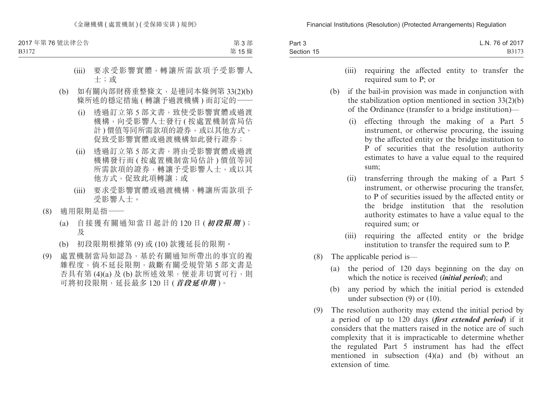《金融機構 ( 處置機制 ) ( 受保障安排 ) 規例》

2017 年第 76 號法律公告

第 3 部

B3172

第 15 條

- (iii) 要求受影響實體,轉讓所需款項予受影響人 士;或
- (b) 如有關內部財務重整條文,是連同本條例第 33(2)(b) 條所述的穩定措施 (轉讓予過渡機構) 而訂定的一
	- (i) 透過訂立第 5 部文書,致使受影響實體或過渡 機構,向受影響人士發行 ( 按處置機制當局估 計) 價值等同所需款項的證券, 或以其他方式, 促致受影響實體或過渡機構如此發行證券;
	- (ii) 透過訂立第 5 部文書,將由受影響實體或過渡 機構發行而 ( 按處置機制當局估計 ) 價值等同 所需款項的證券,轉讓予受影響人士,或以其 他方式,促致此項轉讓;或
	- (iii) 要求受影響實體或過渡機構,轉讓所需款項予 受影響人士。
- (8) 適用限期是指——
	- (a) 自接獲有關通知當日起計的 120 日 (**初段限期** ); 及
	- (b) 初段限期根據第 (9) 或 (10) 款獲延長的限期。
- (9) 處置機制當局如認為,基於有關通知所帶出的事宜的複 雜程度,倘不延長限期,裁斷有關受規管第 5 部文書是 否具有第 (4)(a) 及 (b) 款所述效果, 便並非切實可行, 則 可將初段限期,延長最多 120 日 (**首段延申期** )。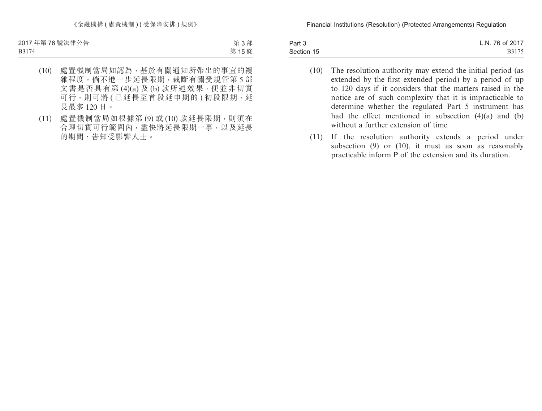第 3 部 第 15 條

- (10) 處置機制當局如認為,基於有關通知所帶出的事宜的複 雜程度,倘不進一步延長限期,裁斷有關受規管第 5 部 文書是否具有第 (4)(a) 及 (b) 款所述效果,便並非切實 可行,則可將(已延長至首段延申期的)初段限期,延 長最多 120 日。
- (11) 處置機制當局如根據第 (9) 或 (10) 款延長限期,則須在 合理切實可行範圍內,盡快將延長限期一事,以及延長 的期間,告知受影響人士。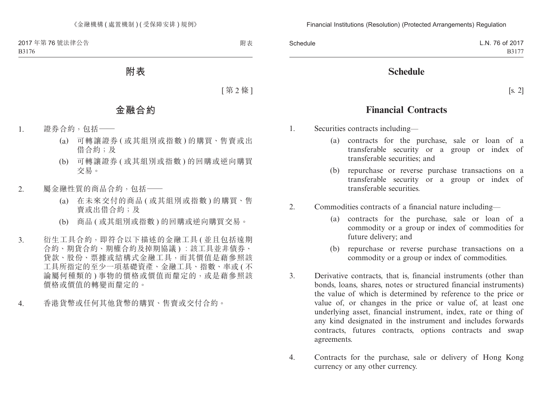**附表**

[ 第 2 條 ]

# **金融合約**

- 1. 證券合約,包括——
	- (a) 可轉讓證券 ( 或其組別或指數 ) 的購買、售賣或出 借合約;及
	- (b) 可轉讓證券 ( 或其組別或指數 ) 的回購或逆向購買 交易。
- 2. 屬金融性質的商品合約,包括——
	- (a) 在未來交付的商品 ( 或其組別或指數 ) 的購買、售 賣或出借合約;及
	- (b) 商品 ( 或其組別或指數 ) 的回購或逆向購買交易。
- 3. 衍生工具合約,即符合以下描述的金融工具 ( 並且包括遠期 合約、期貨合約、期權合約及掉期協議 ) ︰該工具並非債券、 貸款、股份、票據或結構式金融工具,而其價值是藉參照該 工具所指定的至少一項基礎資產、金融工具、指數、率或 ( 不 論屬何種類的 ) 事物的價格或價值而釐定的,或是藉參照該 價格或價值的轉變而釐定的。
- 4. 香港貨幣或任何其他貨幣的購買、售賣或交付合約。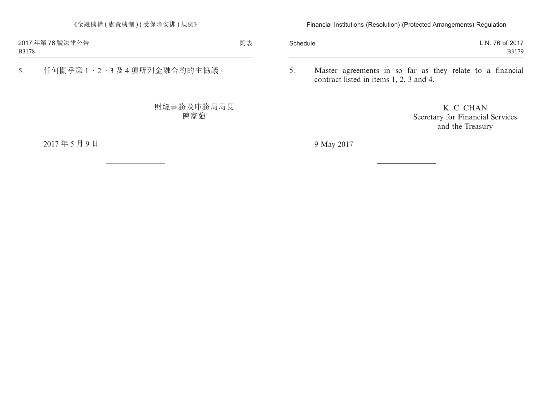5. 任何關乎第 1、2、3 及 4 項所列金融合約的主協議。

財經事務及庫務局局長 陳家強

2017 年 5 月 9 日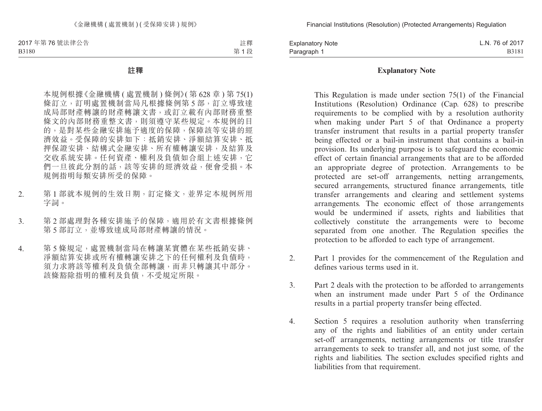註釋 第 1 段

#### **註釋**

本規例根據《金融機構 ( 處置機制 ) 條例》( 第 628 章 ) 第 75(1) 條訂立,訂明處置機制當局凡根據條例第 5 部,訂立導致達 成局部財產轉讓的財產轉讓文書,或訂立載有內部財務重整 條文的內部財務重整文書,則須遵守某些規定。本規例的目 的,是對某些金融安排施予適度的保障,保障該等安排的經 濟效益。受保障的安排如下:抵銷安排、淨額結算安排、抵 押保證安排、結構式金融安排、所有權轉讓安排,及結算及 交收系統安排。任何資產、權利及負債如合組上述安排,它 們一旦彼此分割的話,該等安排的經濟效益,便會受損。本 規例指明每類安排所受的保障。

- 2. 第 1 部就本規例的生效日期,訂定條文,並界定本規例所用 字詞。
- 3. 第 2 部處理對各種安排施予的保障,適用於有文書根據條例 第 5 部訂立,並導致達成局部財產轉讓的情況。
- 4. 第 5 條規定,處置機制當局在轉讓某實體在某些抵銷安排、 淨額結算安排或所有權轉讓安排之下的任何權利及負債時, 須力求將該等權利及負債全部轉讓,而非只轉讓其中部分。 該條豁除指明的權利及負債,不受規定所限。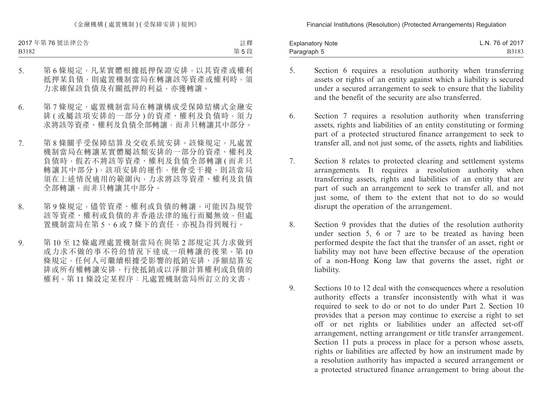《金融機構(處置機制)(受保障安排)規例》

2017 年第 76 號法律公告 B3182

註釋 第 5 段

- 5. 第 6 條規定,凡某實體根據抵押保證安排,以其資產或權利 抵押某負債,則處置機制當局在轉讓該等資產或權利時,須 力求確保該負債及有關抵押的利益,亦獲轉讓。
- 6. 第7條規定,處置機制當局在轉讓構成受保障結構式金融安 排 ( 或屬該項安排的一部分 ) 的資產、權利及負債時, 須力 求將該等資產、權利及負債全部轉讓,而非只轉讓其中部分。
- 7. 第 8 條關乎受保障結算及交收系統安排。該條規定,凡處置 機制當局在轉讓某實體屬該類安排的一部分的資產、權利及 負債時,假若不將該等資產、權利及負債全部轉讓 ( 而非只 轉讓其中部分 ),該項安排的運作,便會受干擾,則該當局 須在上述情況適用的範圍內,力求將該等資產、權利及負債 全部轉讓,而非只轉讓其中部分。
- 8. 第9條規定,儘管資產、權利或負債的轉讓,可能因為規管 該等資產、權利或負債的非香港法律的施行而屬無效,但處 置機制當局在第 5、6 或 7 條下的責任,亦視為得到履行。
- 9. 第 10 至 12 條處理處置機制當局在與第 2 部規定其力求做到 或力求不做的事不符的情況下達成一項轉讓的後果。第 10 條規定,任何人可繼續根據受影響的抵銷安排、淨額結算安 排或所有權轉讓安排,行使抵銷或以淨額計算權利或負債的 權利。第 11 條設定某程序:凡處置機制當局所訂立的文書,